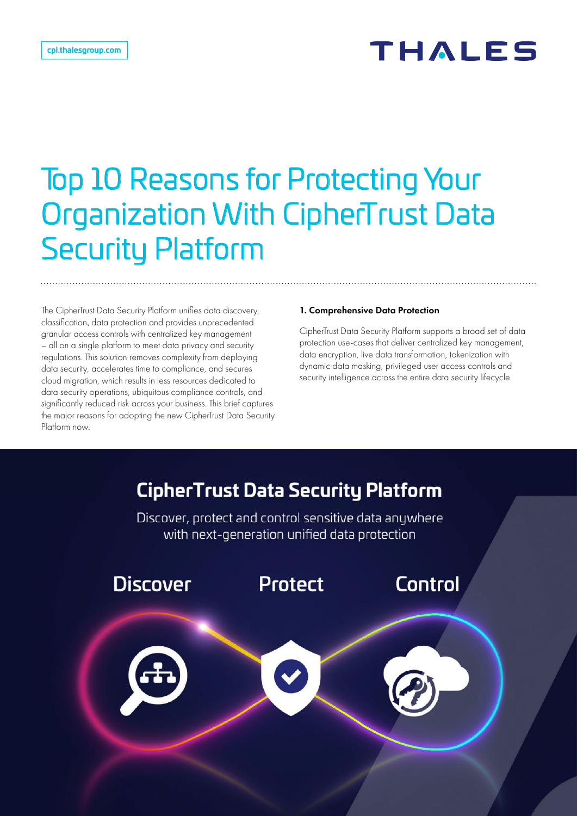# THALES

# Top 10 Reasons for Protecting Your Organization With CipherTrust Data Security Platform

The CipherTrust Data Security Platform unifies data discovery, classification, data protection and provides unprecedented granular access controls with centralized key management – all on a single platform to meet data privacy and security regulations. This solution removes complexity from deploying data security, accelerates time to compliance, and secures cloud migration, which results in less resources dedicated to data security operations, ubiquitous compliance controls, and significantly reduced risk across your business. This brief captures the major reasons for adopting the new CipherTrust Data Security Platform now.

#### 1. Comprehensive Data Protection

CipherTrust Data Security Platform supports a broad set of data protection use-cases that deliver centralized key management, data encryption, live data transformation, tokenization with dynamic data masking, privileged user access controls and security intelligence across the entire data security lifecycle.

## **CipherTrust Data Security Platform**

Discover, protect and control sensitive data anywhere with next-generation unified data protection



CipherTrust Data Security Platform 5 and 5 and 5 and 5 and 5 and 5 and 5 and 5 and 5 and 5 and 5 and 5 and 5 and 5 and 5 and 5 and 5 and 5 and 5 and 5 and 5 and 5 and 5 and 5 and 5 and 5 and 5 and 5 and 5 and 5 and 5 and 5